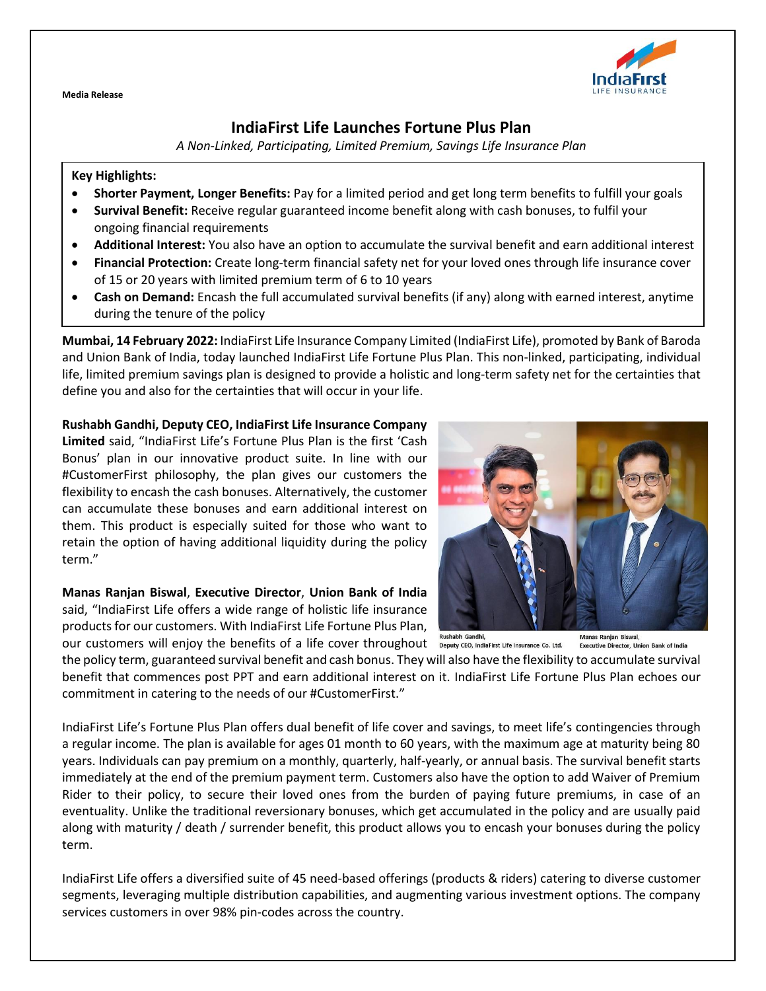**Media Release**

# **IndiaFirst Life Launches Fortune Plus Plan**

*A Non-Linked, Participating, Limited Premium, Savings Life Insurance Plan*

### **Key Highlights:**

- **Shorter Payment, Longer Benefits:** Pay for a limited period and get long term benefits to fulfill your goals
- **Survival Benefit:** Receive regular guaranteed income benefit along with cash bonuses, to fulfil your ongoing financial requirements
- **Additional Interest:** You also have an option to accumulate the survival benefit and earn additional interest
- **Financial Protection:** Create long-term financial safety net for your loved ones through life insurance cover of 15 or 20 years with limited premium term of 6 to 10 years
- **Cash on Demand:** Encash the full accumulated survival benefits (if any) along with earned interest, anytime during the tenure of the policy

**Mumbai, 14 February 2022:** IndiaFirst Life Insurance Company Limited (IndiaFirst Life), promoted by Bank of Baroda and Union Bank of India, today launched IndiaFirst Life Fortune Plus Plan. This non-linked, participating, individual life, limited premium savings plan is designed to provide a holistic and long-term safety net for the certainties that define you and also for the certainties that will occur in your life.

## **Rushabh Gandhi, Deputy CEO, IndiaFirst Life Insurance Company**

**Limited** said, "IndiaFirst Life's Fortune Plus Plan is the first 'Cash Bonus' plan in our innovative product suite. In line with our #CustomerFirst philosophy, the plan gives our customers the flexibility to encash the cash bonuses. Alternatively, the customer can accumulate these bonuses and earn additional interest on them. This product is especially suited for those who want to retain the option of having additional liquidity during the policy term."

## **Manas Ranjan Biswal**, **Executive Director**, **Union Bank of India** said, "IndiaFirst Life offers a wide range of holistic life insurance products for our customers. With IndiaFirst Life Fortune Plus Plan,



Rushabh Gandhi. our customers will enjoy the benefits of a life cover throughout  $\frac{1}{2}$  bepaty CEO, indiaFirst Life insurance Co. Ltd.

Manas Ranjan Biswal Executive Director, Union Bank of India

the policy term, guaranteed survival benefit and cash bonus. They will also have the flexibility to accumulate survival benefit that commences post PPT and earn additional interest on it. IndiaFirst Life Fortune Plus Plan echoes our commitment in catering to the needs of our #CustomerFirst."

IndiaFirst Life's Fortune Plus Plan offers dual benefit of life cover and savings, to meet life's contingencies through a regular income. The plan is available for ages 01 month to 60 years, with the maximum age at maturity being 80 years. Individuals can pay premium on a monthly, quarterly, half-yearly, or annual basis. The survival benefit starts immediately at the end of the premium payment term. Customers also have the option to add Waiver of Premium Rider to their policy, to secure their loved ones from the burden of paying future premiums, in case of an eventuality. Unlike the traditional reversionary bonuses, which get accumulated in the policy and are usually paid along with maturity / death / surrender benefit, this product allows you to encash your bonuses during the policy term.

IndiaFirst Life offers a diversified suite of 45 need-based offerings (products & riders) catering to diverse customer segments, leveraging multiple distribution capabilities, and augmenting various investment options. The company services customers in over 98% pin-codes across the country.